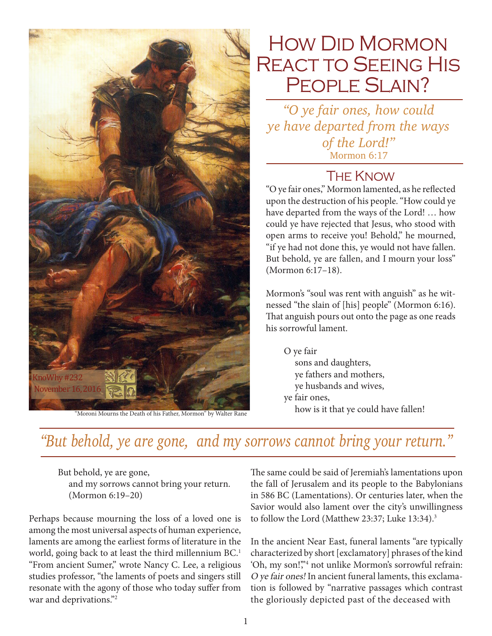

# How Did Mormon REACT TO SEEING HIS PEOPLE SLAIN?

*"O ye fair ones, how could ye have departed from the ways of the Lord!"*  Mormon 6:17

#### **THE KNOW**

"O ye fair ones," Mormon lamented, as he reflected upon the destruction of his people. "How could ye have departed from the ways of the Lord! … how could ye have rejected that Jesus, who stood with open arms to receive you! Behold," he mourned, "if ye had not done this, ye would not have fallen. But behold, ye are fallen, and I mourn your loss" (Mormon 6:17–18).

Mormon's "soul was rent with anguish" as he witnessed "the slain of [his] people" (Mormon 6:16). That anguish pours out onto the page as one reads his sorrowful lament.

O ye fair sons and daughters, ye fathers and mothers, ye husbands and wives, ye fair ones,

## *"But behold, ye are gone, and my sorrows cannot bring your return."*

But behold, ye are gone, and my sorrows cannot bring your return. (Mormon 6:19–20)

Perhaps because mourning the loss of a loved one is among the most universal aspects of human experience, laments are among the earliest forms of literature in the world, going back to at least the third millennium BC.<sup>1</sup> "From ancient Sumer," wrote Nancy C. Lee, a religious studies professor, "the laments of poets and singers still resonate with the agony of those who today suffer from war and deprivations."<sup>2</sup>

The same could be said of Jeremiah's lamentations upon the fall of Jerusalem and its people to the Babylonians in 586 BC (Lamentations). Or centuries later, when the Savior would also lament over the city's unwillingness to follow the Lord (Matthew 23:37; Luke 13:34).<sup>3</sup>

In the ancient Near East, funeral laments "are typically characterized by short [exclamatory] phrases of the kind 'Oh, my son!"<sup>4</sup> not unlike Mormon's sorrowful refrain: O ye fair ones! In ancient funeral laments, this exclamation is followed by "narrative passages which contrast the gloriously depicted past of the deceased with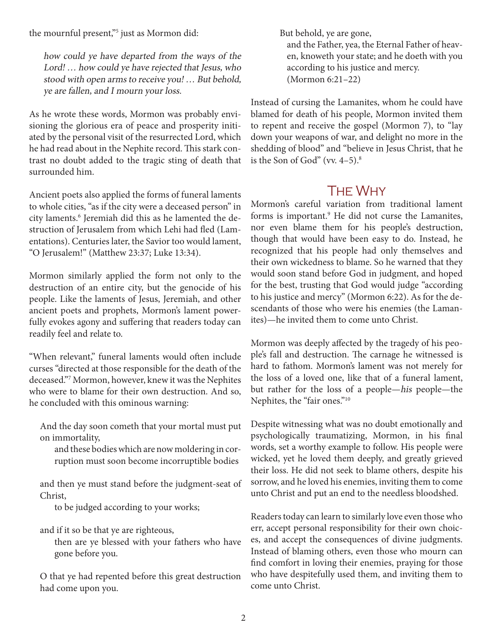the mournful present,"5 just as Mormon did:

how could ye have departed from the ways of the Lord! … how could ye have rejected that Jesus, who stood with open arms to receive you! … But behold, ye are fallen, and I mourn your loss.

As he wrote these words, Mormon was probably envisioning the glorious era of peace and prosperity initiated by the personal visit of the resurrected Lord, which he had read about in the Nephite record. This stark contrast no doubt added to the tragic sting of death that surrounded him.

Ancient poets also applied the forms of funeral laments to whole cities, "as if the city were a deceased person" in city laments.<sup>6</sup> Jeremiah did this as he lamented the destruction of Jerusalem from which Lehi had fled (Lamentations). Centuries later, the Savior too would lament, "O Jerusalem!" (Matthew 23:37; Luke 13:34).

Mormon similarly applied the form not only to the destruction of an entire city, but the genocide of his people. Like the laments of Jesus, Jeremiah, and other ancient poets and prophets, Mormon's lament powerfully evokes agony and suffering that readers today can readily feel and relate to.

"When relevant," funeral laments would often include curses "directed at those responsible for the death of the deceased."7 Mormon, however, knew it was the Nephites who were to blame for their own destruction. And so, he concluded with this ominous warning:

And the day soon cometh that your mortal must put on immortality,

and these bodies which are now moldering in corruption must soon become incorruptible bodies

and then ye must stand before the judgment-seat of Christ,

to be judged according to your works;

and if it so be that ye are righteous,

then are ye blessed with your fathers who have gone before you.

O that ye had repented before this great destruction had come upon you.

But behold, ye are gone, and the Father, yea, the Eternal Father of heaven, knoweth your state; and he doeth with you according to his justice and mercy. (Mormon 6:21–22)

Instead of cursing the Lamanites, whom he could have blamed for death of his people, Mormon invited them to repent and receive the gospel (Mormon 7), to "lay down your weapons of war, and delight no more in the shedding of blood" and "believe in Jesus Christ, that he is the Son of God" (vv.  $4-5$ ).<sup>8</sup>

#### The Why

Mormon's careful variation from traditional lament forms is important.<sup>9</sup> He did not curse the Lamanites, nor even blame them for his people's destruction, though that would have been easy to do. Instead, he recognized that his people had only themselves and their own wickedness to blame. So he warned that they would soon stand before God in judgment, and hoped for the best, trusting that God would judge "according to his justice and mercy" (Mormon 6:22). As for the descendants of those who were his enemies (the Lamanites)—he invited them to come unto Christ.

Mormon was deeply affected by the tragedy of his people's fall and destruction. The carnage he witnessed is hard to fathom. Mormon's lament was not merely for the loss of a loved one, like that of a funeral lament, but rather for the loss of a people—his people—the Nephites, the "fair ones."10

Despite witnessing what was no doubt emotionally and psychologically traumatizing, Mormon, in his final words, set a worthy example to follow. His people were wicked, yet he loved them deeply, and greatly grieved their loss. He did not seek to blame others, despite his sorrow, and he loved his enemies, inviting them to come unto Christ and put an end to the needless bloodshed.

Readers today can learn to similarly love even those who err, accept personal responsibility for their own choices, and accept the consequences of divine judgments. Instead of blaming others, even those who mourn can find comfort in loving their enemies, praying for those who have despitefully used them, and inviting them to come unto Christ.